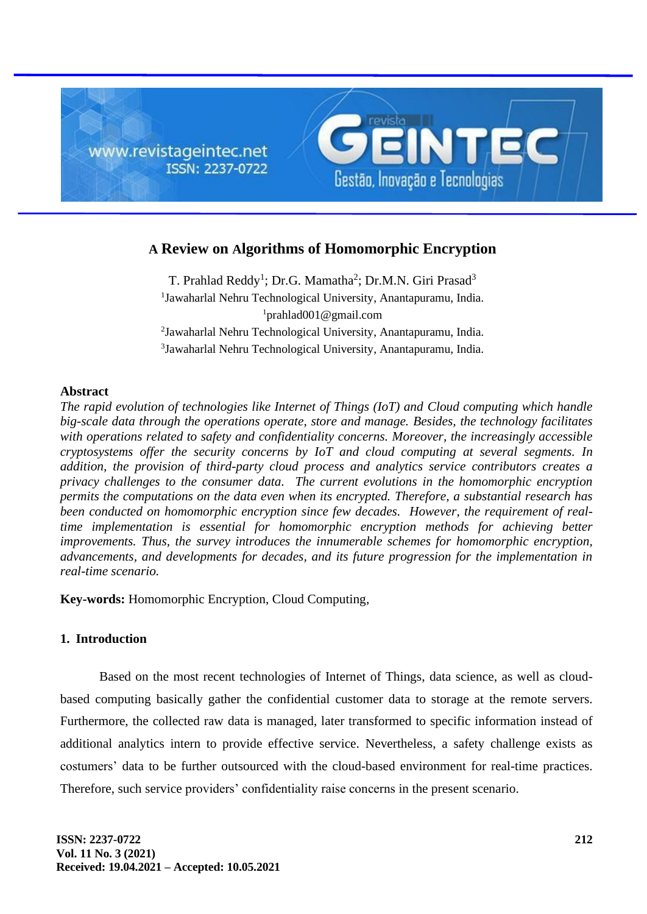

# **A Review on Algorithms of Homomorphic Encryption**

T. Prahlad Reddy<sup>1</sup>; Dr.G. Mamatha<sup>2</sup>; Dr.M.N. Giri Prasad<sup>3</sup> Jawaharlal Nehru Technological University, Anantapuramu, India. prahlad001@gmail.com Jawaharlal Nehru Technological University, Anantapuramu, India. Jawaharlal Nehru Technological University, Anantapuramu, India.

### **Abstract**

*The rapid evolution of technologies like Internet of Things (IoT) and Cloud computing which handle big-scale data through the operations operate, store and manage. Besides, the technology facilitates with operations related to safety and confidentiality concerns. Moreover, the increasingly accessible cryptosystems offer the security concerns by IoT and cloud computing at several segments. In addition, the provision of third-party cloud process and analytics service contributors creates a privacy challenges to the consumer data. The current evolutions in the homomorphic encryption permits the computations on the data even when its encrypted. Therefore, a substantial research has been conducted on homomorphic encryption since few decades. However, the requirement of realtime implementation is essential for homomorphic encryption methods for achieving better improvements. Thus, the survey introduces the innumerable schemes for homomorphic encryption, advancements, and developments for decades, and its future progression for the implementation in real-time scenario.*

**Key-words:** Homomorphic Encryption, Cloud Computing,

### **1. Introduction**

Based on the most recent technologies of Internet of Things, data science, as well as cloudbased computing basically gather the confidential customer data to storage at the remote servers. Furthermore, the collected raw data is managed, later transformed to specific information instead of additional analytics intern to provide effective service. Nevertheless, a safety challenge exists as costumers' data to be further outsourced with the cloud-based environment for real-time practices. Therefore, such service providers' confidentiality raise concerns in the present scenario.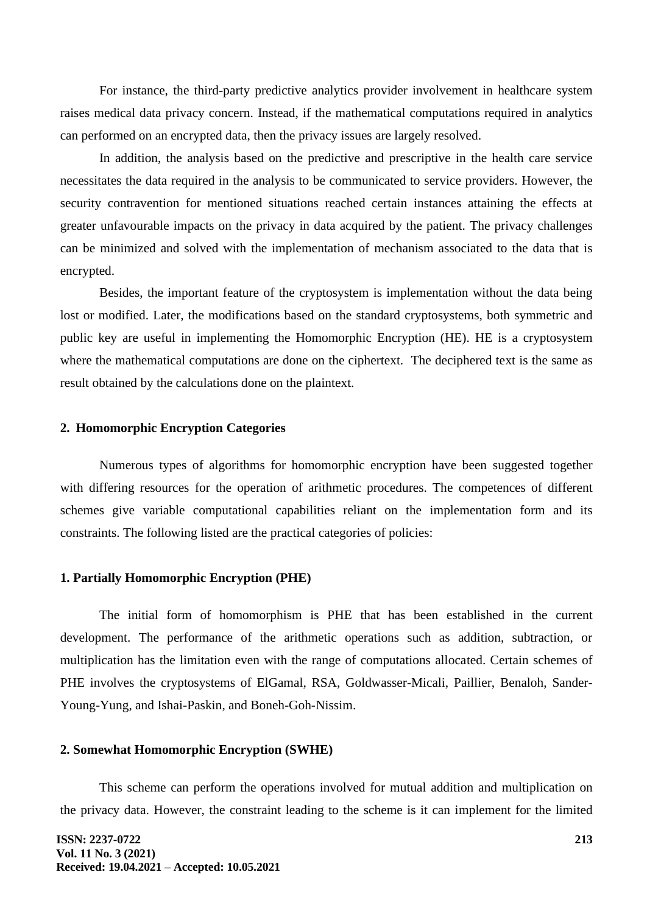For instance, the third-party predictive analytics provider involvement in healthcare system raises medical data privacy concern. Instead, if the mathematical computations required in analytics can performed on an encrypted data, then the privacy issues are largely resolved.

In addition, the analysis based on the predictive and prescriptive in the health care service necessitates the data required in the analysis to be communicated to service providers. However, the security contravention for mentioned situations reached certain instances attaining the effects at greater unfavourable impacts on the privacy in data acquired by the patient. The privacy challenges can be minimized and solved with the implementation of mechanism associated to the data that is encrypted.

Besides, the important feature of the cryptosystem is implementation without the data being lost or modified. Later, the modifications based on the standard cryptosystems, both symmetric and public key are useful in implementing the Homomorphic Encryption (HE). HE is a cryptosystem where the mathematical computations are done on the ciphertext. The deciphered text is the same as result obtained by the calculations done on the plaintext.

#### **2. Homomorphic Encryption Categories**

Numerous types of algorithms for homomorphic encryption have been suggested together with differing resources for the operation of arithmetic procedures. The competences of different schemes give variable computational capabilities reliant on the implementation form and its constraints. The following listed are the practical categories of policies:

## **1. Partially Homomorphic Encryption (PHE)**

The initial form of homomorphism is PHE that has been established in the current development. The performance of the arithmetic operations such as addition, subtraction, or multiplication has the limitation even with the range of computations allocated. Certain schemes of PHE involves the cryptosystems of ElGamal, RSA, Goldwasser-Micali, Paillier, Benaloh, Sander-Young-Yung, and Ishai-Paskin, and Boneh-Goh-Nissim.

#### **2. Somewhat Homomorphic Encryption (SWHE)**

This scheme can perform the operations involved for mutual addition and multiplication on the privacy data. However, the constraint leading to the scheme is it can implement for the limited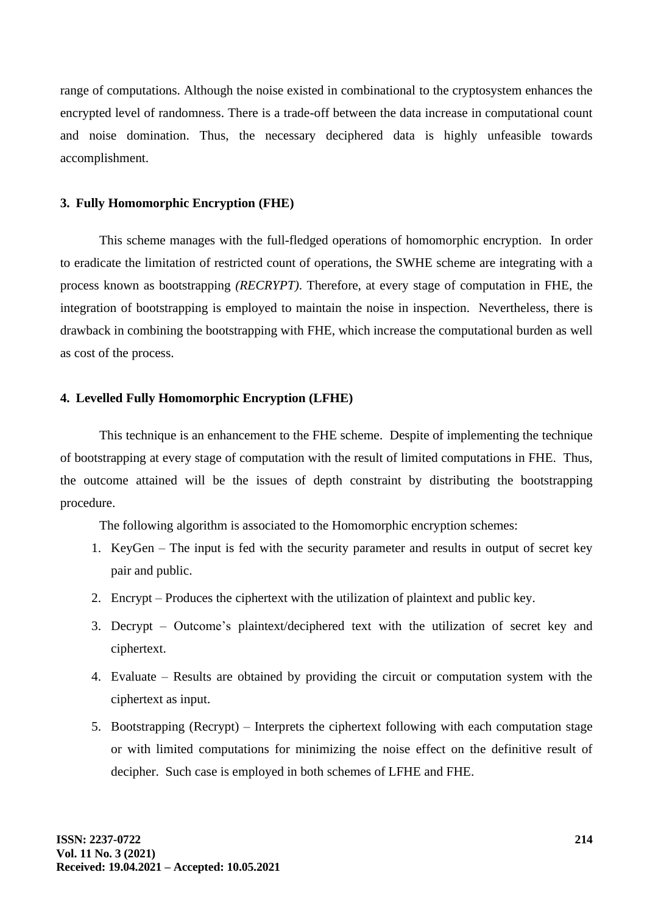range of computations. Although the noise existed in combinational to the cryptosystem enhances the encrypted level of randomness. There is a trade-off between the data increase in computational count and noise domination. Thus, the necessary deciphered data is highly unfeasible towards accomplishment.

#### **3. Fully Homomorphic Encryption (FHE)**

This scheme manages with the full-fledged operations of homomorphic encryption. In order to eradicate the limitation of restricted count of operations, the SWHE scheme are integrating with a process known as bootstrapping *(RECRYPT)*. Therefore, at every stage of computation in FHE, the integration of bootstrapping is employed to maintain the noise in inspection. Nevertheless, there is drawback in combining the bootstrapping with FHE, which increase the computational burden as well as cost of the process.

### **4. Levelled Fully Homomorphic Encryption (LFHE)**

This technique is an enhancement to the FHE scheme. Despite of implementing the technique of bootstrapping at every stage of computation with the result of limited computations in FHE. Thus, the outcome attained will be the issues of depth constraint by distributing the bootstrapping procedure.

The following algorithm is associated to the Homomorphic encryption schemes:

- 1. KeyGen The input is fed with the security parameter and results in output of secret key pair and public.
- 2. Encrypt Produces the ciphertext with the utilization of plaintext and public key.
- 3. Decrypt Outcome's plaintext/deciphered text with the utilization of secret key and ciphertext.
- 4. Evaluate Results are obtained by providing the circuit or computation system with the ciphertext as input.
- 5. Bootstrapping (Recrypt) Interprets the ciphertext following with each computation stage or with limited computations for minimizing the noise effect on the definitive result of decipher. Such case is employed in both schemes of LFHE and FHE.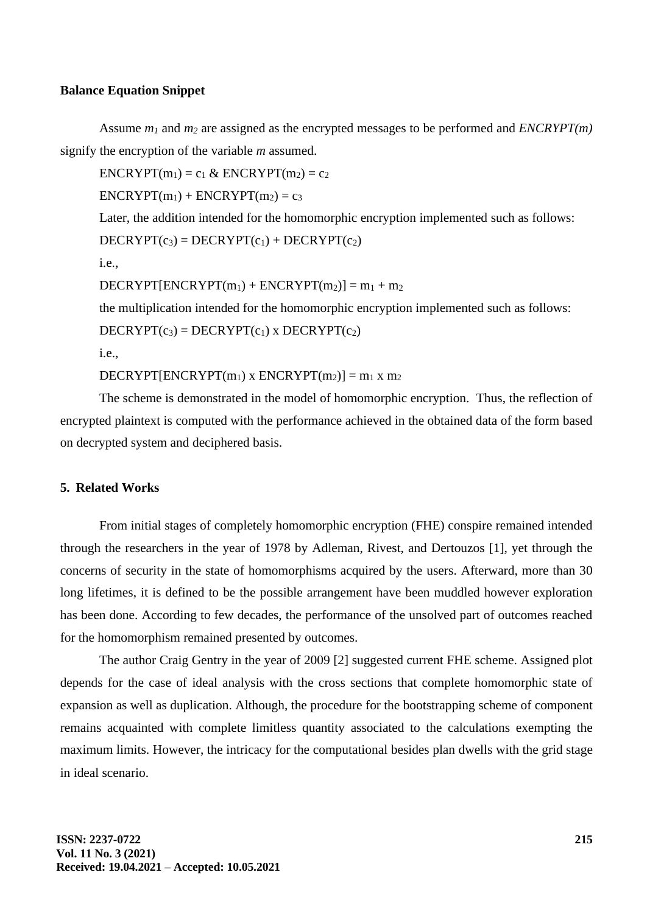#### **Balance Equation Snippet**

Assume *m<sup>1</sup>* and *m<sup>2</sup>* are assigned as the encrypted messages to be performed and *ENCRYPT(m)* signify the encryption of the variable *m* assumed.

 $ENCRYPT(m_1) = c_1 \& ENCRYPT(m_2) = c_2$ 

 $ENCRYPT(m_1) + ENCRYPT(m_2) = c_3$ 

Later, the addition intended for the homomorphic encryption implemented such as follows:  $DECRYPT(c_3) = DECRYPT(c_1) + DECRYPT(c_2)$ 

i.e.,

 $DECRYPT[ENCRYPT(m<sub>1</sub>) + ENCRYPT(m<sub>2</sub>)] = m<sub>1</sub> + m<sub>2</sub>$ 

the multiplication intended for the homomorphic encryption implemented such as follows:

 $DECRYPT(c_3) = DECRYPT(c_1)$  x  $DECRYPT(c_2)$ 

i.e.,

DECRYPT[ENCRYPT(m<sub>1</sub>) x ENCRYPT(m<sub>2</sub>)] = m<sub>1</sub> x m<sub>2</sub>

The scheme is demonstrated in the model of homomorphic encryption. Thus, the reflection of encrypted plaintext is computed with the performance achieved in the obtained data of the form based on decrypted system and deciphered basis.

### **5. Related Works**

From initial stages of completely homomorphic encryption (FHE) conspire remained intended through the researchers in the year of 1978 by Adleman, Rivest, and Dertouzos [1], yet through the concerns of security in the state of homomorphisms acquired by the users. Afterward, more than 30 long lifetimes, it is defined to be the possible arrangement have been muddled however exploration has been done. According to few decades, the performance of the unsolved part of outcomes reached for the homomorphism remained presented by outcomes.

The author Craig Gentry in the year of 2009 [2] suggested current FHE scheme. Assigned plot depends for the case of ideal analysis with the cross sections that complete homomorphic state of expansion as well as duplication. Although, the procedure for the bootstrapping scheme of component remains acquainted with complete limitless quantity associated to the calculations exempting the maximum limits. However, the intricacy for the computational besides plan dwells with the grid stage in ideal scenario.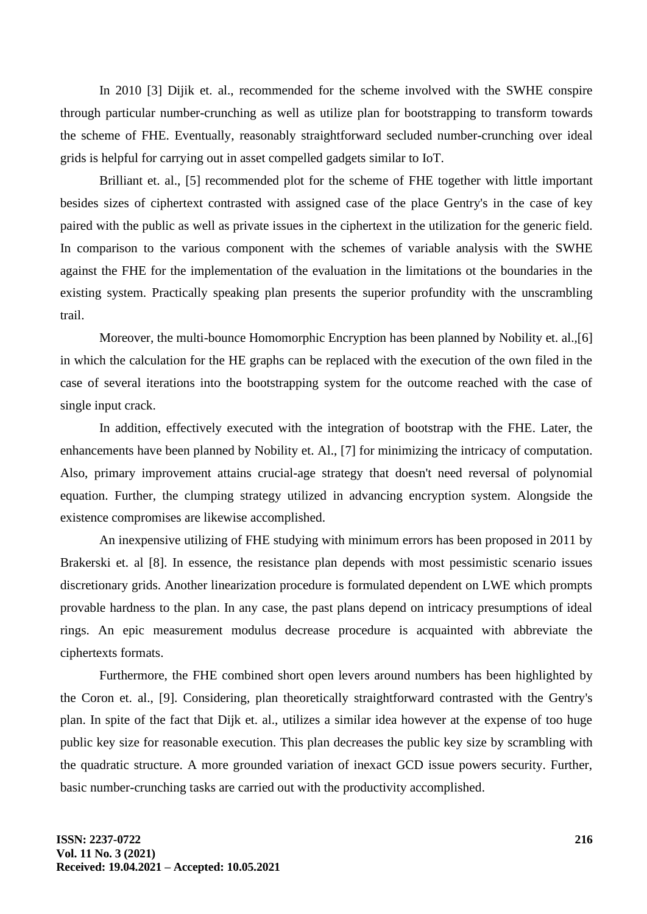In 2010 [3] Dijik et. al., recommended for the scheme involved with the SWHE conspire through particular number-crunching as well as utilize plan for bootstrapping to transform towards the scheme of FHE. Eventually, reasonably straightforward secluded number-crunching over ideal grids is helpful for carrying out in asset compelled gadgets similar to IoT.

Brilliant et. al., [5] recommended plot for the scheme of FHE together with little important besides sizes of ciphertext contrasted with assigned case of the place Gentry's in the case of key paired with the public as well as private issues in the ciphertext in the utilization for the generic field. In comparison to the various component with the schemes of variable analysis with the SWHE against the FHE for the implementation of the evaluation in the limitations ot the boundaries in the existing system. Practically speaking plan presents the superior profundity with the unscrambling trail.

Moreover, the multi-bounce Homomorphic Encryption has been planned by Nobility et. al.,[6] in which the calculation for the HE graphs can be replaced with the execution of the own filed in the case of several iterations into the bootstrapping system for the outcome reached with the case of single input crack.

In addition, effectively executed with the integration of bootstrap with the FHE. Later, the enhancements have been planned by Nobility et. Al., [7] for minimizing the intricacy of computation. Also, primary improvement attains crucial-age strategy that doesn't need reversal of polynomial equation. Further, the clumping strategy utilized in advancing encryption system. Alongside the existence compromises are likewise accomplished.

An inexpensive utilizing of FHE studying with minimum errors has been proposed in 2011 by Brakerski et. al [8]. In essence, the resistance plan depends with most pessimistic scenario issues discretionary grids. Another linearization procedure is formulated dependent on LWE which prompts provable hardness to the plan. In any case, the past plans depend on intricacy presumptions of ideal rings. An epic measurement modulus decrease procedure is acquainted with abbreviate the ciphertexts formats.

Furthermore, the FHE combined short open levers around numbers has been highlighted by the Coron et. al., [9]. Considering, plan theoretically straightforward contrasted with the Gentry's plan. In spite of the fact that Dijk et. al., utilizes a similar idea however at the expense of too huge public key size for reasonable execution. This plan decreases the public key size by scrambling with the quadratic structure. A more grounded variation of inexact GCD issue powers security. Further, basic number-crunching tasks are carried out with the productivity accomplished.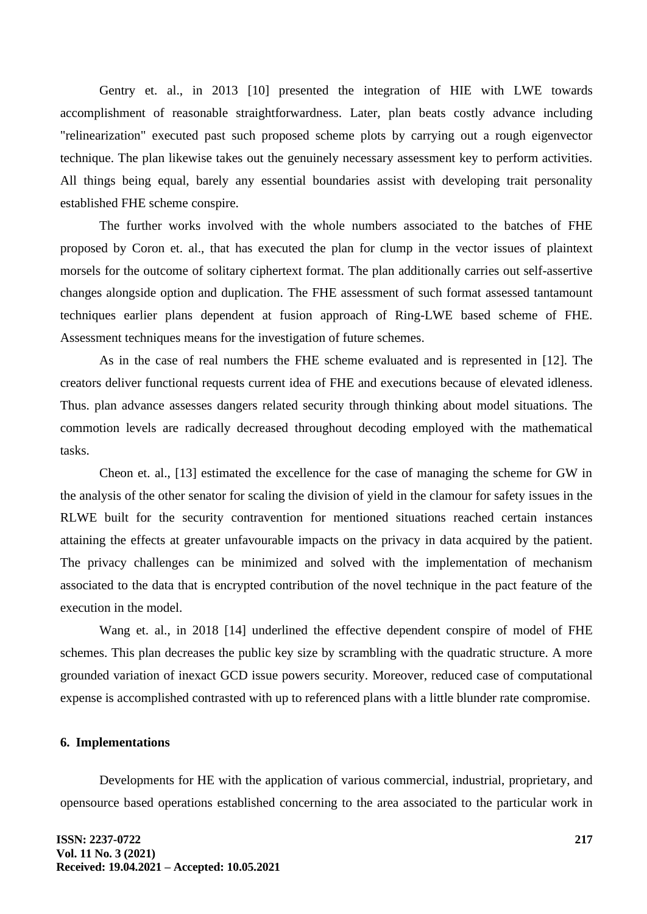Gentry et. al., in 2013 [10] presented the integration of HIE with LWE towards accomplishment of reasonable straightforwardness. Later, plan beats costly advance including "relinearization" executed past such proposed scheme plots by carrying out a rough eigenvector technique. The plan likewise takes out the genuinely necessary assessment key to perform activities. All things being equal, barely any essential boundaries assist with developing trait personality established FHE scheme conspire.

The further works involved with the whole numbers associated to the batches of FHE proposed by Coron et. al., that has executed the plan for clump in the vector issues of plaintext morsels for the outcome of solitary ciphertext format. The plan additionally carries out self-assertive changes alongside option and duplication. The FHE assessment of such format assessed tantamount techniques earlier plans dependent at fusion approach of Ring-LWE based scheme of FHE. Assessment techniques means for the investigation of future schemes.

As in the case of real numbers the FHE scheme evaluated and is represented in [12]. The creators deliver functional requests current idea of FHE and executions because of elevated idleness. Thus. plan advance assesses dangers related security through thinking about model situations. The commotion levels are radically decreased throughout decoding employed with the mathematical tasks.

Cheon et. al., [13] estimated the excellence for the case of managing the scheme for GW in the analysis of the other senator for scaling the division of yield in the clamour for safety issues in the RLWE built for the security contravention for mentioned situations reached certain instances attaining the effects at greater unfavourable impacts on the privacy in data acquired by the patient. The privacy challenges can be minimized and solved with the implementation of mechanism associated to the data that is encrypted contribution of the novel technique in the pact feature of the execution in the model.

Wang et. al., in 2018 [14] underlined the effective dependent conspire of model of FHE schemes. This plan decreases the public key size by scrambling with the quadratic structure. A more grounded variation of inexact GCD issue powers security. Moreover, reduced case of computational expense is accomplished contrasted with up to referenced plans with a little blunder rate compromise.

#### **6. Implementations**

Developments for HE with the application of various commercial, industrial, proprietary, and opensource based operations established concerning to the area associated to the particular work in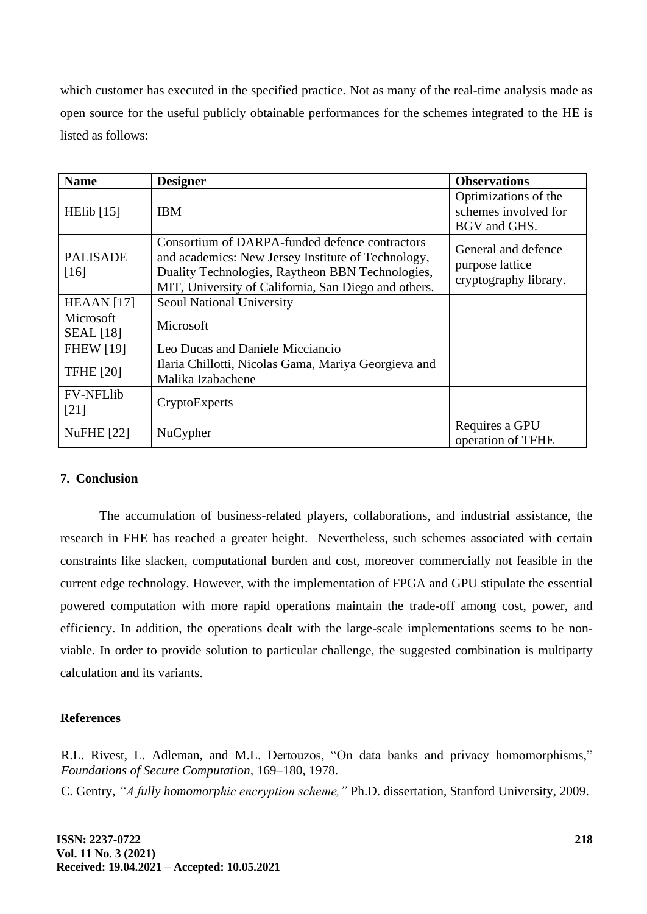which customer has executed in the specified practice. Not as many of the real-time analysis made as open source for the useful publicly obtainable performances for the schemes integrated to the HE is listed as follows:

| <b>Name</b>                   | <b>Designer</b>                                                                                                                                                                                                  | <b>Observations</b>                                             |
|-------------------------------|------------------------------------------------------------------------------------------------------------------------------------------------------------------------------------------------------------------|-----------------------------------------------------------------|
| HElib $[15]$                  | <b>IBM</b>                                                                                                                                                                                                       | Optimizations of the<br>schemes involved for<br>BGV and GHS.    |
| <b>PALISADE</b><br>[16]       | Consortium of DARPA-funded defence contractors<br>and academics: New Jersey Institute of Technology,<br>Duality Technologies, Raytheon BBN Technologies,<br>MIT, University of California, San Diego and others. | General and defence<br>purpose lattice<br>cryptography library. |
| HEAAN $[17]$                  | <b>Seoul National University</b>                                                                                                                                                                                 |                                                                 |
| Microsoft<br><b>SEAL</b> [18] | Microsoft                                                                                                                                                                                                        |                                                                 |
| <b>FHEW [19]</b>              | Leo Ducas and Daniele Micciancio                                                                                                                                                                                 |                                                                 |
| <b>TFHE [20]</b>              | Ilaria Chillotti, Nicolas Gama, Mariya Georgieva and<br>Malika Izabachene                                                                                                                                        |                                                                 |
| <b>FV-NFLlib</b><br>$[21]$    | CryptoExperts                                                                                                                                                                                                    |                                                                 |
| <b>NuFHE</b> [22]             | NuCypher                                                                                                                                                                                                         | Requires a GPU<br>operation of TFHE                             |

### **7. Conclusion**

The accumulation of business-related players, collaborations, and industrial assistance, the research in FHE has reached a greater height. Nevertheless, such schemes associated with certain constraints like slacken, computational burden and cost, moreover commercially not feasible in the current edge technology. However, with the implementation of FPGA and GPU stipulate the essential powered computation with more rapid operations maintain the trade-off among cost, power, and efficiency. In addition, the operations dealt with the large-scale implementations seems to be nonviable. In order to provide solution to particular challenge, the suggested combination is multiparty calculation and its variants.

### **References**

R.L. Rivest, L. Adleman, and M.L. Dertouzos, "On data banks and privacy homomorphisms," *Foundations of Secure Computation,* 169–180, 1978.

C. Gentry, *"A fully homomorphic encryption scheme,"* Ph.D. dissertation, Stanford University, 2009.